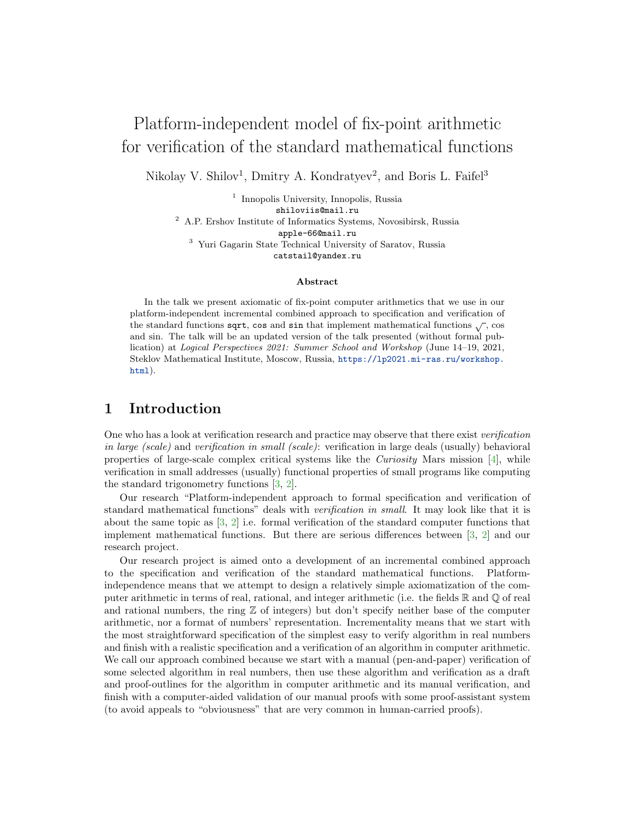# Platform-independent model of fix-point arithmetic for verification of the standard mathematical functions

Nikolay V. Shilov<sup>1</sup>, Dmitry A. Kondratyev<sup>2</sup>, and Boris L. Faifel<sup>3</sup>

<sup>1</sup> Innopolis University, Innopolis, Russia shiloviis@mail.ru  $^{\rm 2}$  A.P. Ershov Institute of Informatics Systems, Novosibirsk, Russia apple-66@mail.ru <sup>3</sup> Yuri Gagarin State Technical University of Saratov, Russia catstail@yandex.ru

#### Abstract

In the talk we present axiomatic of fix-point computer arithmetics that we use in our platform-independent incremental combined approach to specification and verification of the standard functions sqrt, cos and sin that implement mathematical functions  $\sqrt{\ }$ , cos and sin. The talk will be an updated version of the talk presented (without formal publication) at Logical Perspectives 2021: Summer School and Workshop (June 14–19, 2021, Steklov Mathematical Institute, Moscow, Russia, [https://lp2021.mi-ras.ru/workshop.](https://lp2021.mi-ras.ru/workshop.html) [html](https://lp2021.mi-ras.ru/workshop.html)).

## 1 Introduction

One who has a look at verification research and practice may observe that there exist verification in large (scale) and verification in small (scale): verification in large deals (usually) behavioral properties of large-scale complex critical systems like the *Curiosity* Mars mission [\[4\]](#page-2-0), while verification in small addresses (usually) functional properties of small programs like computing the standard trigonometry functions [\[3,](#page-2-1) [2\]](#page-2-2).

Our research "Platform-independent approach to formal specification and verification of standard mathematical functions" deals with verification in small. It may look like that it is about the same topic as [\[3,](#page-2-1) [2\]](#page-2-2) i.e. formal verification of the standard computer functions that implement mathematical functions. But there are serious differences between [\[3,](#page-2-1) [2\]](#page-2-2) and our research project.

Our research project is aimed onto a development of an incremental combined approach to the specification and verification of the standard mathematical functions. Platformindependence means that we attempt to design a relatively simple axiomatization of the computer arithmetic in terms of real, rational, and integer arithmetic (i.e. the fields  $\mathbb R$  and  $\mathbb Q$  of real and rational numbers, the ring  $\mathbb Z$  of integers) but don't specify neither base of the computer arithmetic, nor a format of numbers' representation. Incrementality means that we start with the most straightforward specification of the simplest easy to verify algorithm in real numbers and finish with a realistic specification and a verification of an algorithm in computer arithmetic. We call our approach combined because we start with a manual (pen-and-paper) verification of some selected algorithm in real numbers, then use these algorithm and verification as a draft and proof-outlines for the algorithm in computer arithmetic and its manual verification, and finish with a computer-aided validation of our manual proofs with some proof-assistant system (to avoid appeals to "obviousness" that are very common in human-carried proofs).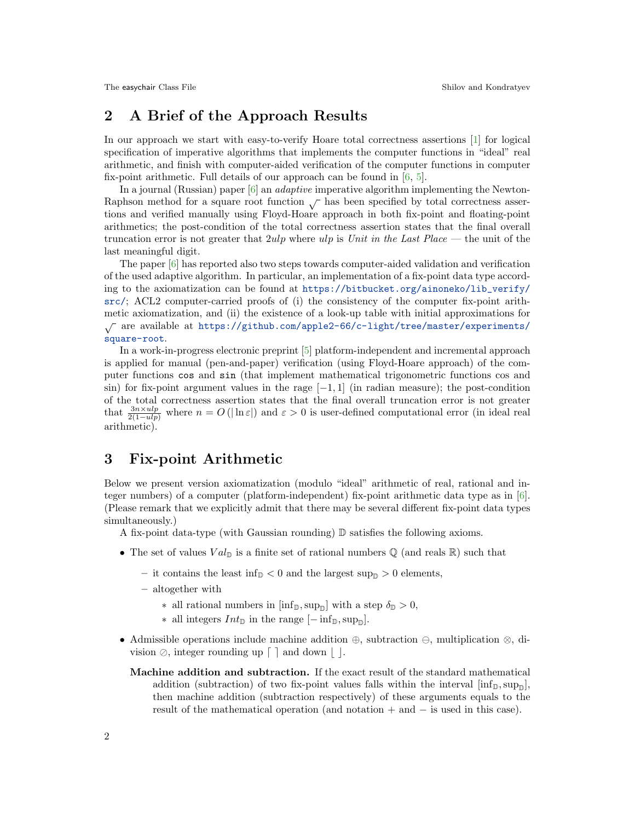# 2 A Brief of the Approach Results

In our approach we start with easy-to-verify Hoare total correctness assertions [\[1\]](#page-2-3) for logical specification of imperative algorithms that implements the computer functions in "ideal" real arithmetic, and finish with computer-aided verification of the computer functions in computer fix-point arithmetic. Full details of our approach can be found in [\[6,](#page-2-4) [5\]](#page-2-5).

In a journal (Russian) paper [\[6\]](#page-2-4) an adaptive imperative algorithm implementing the Newton-Raphson method for a square root function  $\sqrt{\ }$  has been specified by total correctness assertions and verified manually using Floyd-Hoare approach in both fix-point and floating-point arithmetics; the post-condition of the total correctness assertion states that the final overall truncation error is not greater that  $2ulp$  where ulp is Unit in the Last Place — the unit of the last meaningful digit.

The paper [\[6\]](#page-2-4) has reported also two steps towards computer-aided validation and verification of the used adaptive algorithm. In particular, an implementation of a fix-point data type according to the axiomatization can be found at [https://bitbucket.org/ainoneko/lib\\_verify/](https://bitbucket.org/ainoneko/lib_verify/src/) [src/](https://bitbucket.org/ainoneko/lib_verify/src/); ACL2 computer-carried proofs of (i) the consistency of the computer fix-point arithmetic axiomatization, and (ii) the existence of a look-up table with initial approximations for <sup>√</sup> are available at [https://github.com/apple2-66/c-light/tree/master/experiments/](https://github.com/apple2-66/c-light/tree/master/experiments/square-root) [square-root](https://github.com/apple2-66/c-light/tree/master/experiments/square-root).

In a work-in-progress electronic preprint [\[5\]](#page-2-5) platform-independent and incremental approach is applied for manual (pen-and-paper) verification (using Floyd-Hoare approach) of the computer functions cos and sin (that implement mathematical trigonometric functions cos and sin) for fix-point argument values in the rage  $[-1, 1]$  (in radian measure); the post-condition of the total correctness assertion states that the final overall truncation error is not greater that  $\frac{3n\times ulp}{2(1-ulp)}$  where  $n = O(|\ln \varepsilon|)$  and  $\varepsilon > 0$  is user-defined computational error (in ideal real arithmetic).

### 3 Fix-point Arithmetic

Below we present version axiomatization (modulo "ideal" arithmetic of real, rational and integer numbers) of a computer (platform-independent) fix-point arithmetic data type as in [\[6\]](#page-2-4). (Please remark that we explicitly admit that there may be several different fix-point data types simultaneously.)

A fix-point data-type (with Gaussian rounding) D satisfies the following axioms.

- The set of values  $Val_{\mathbb{D}}$  is a finite set of rational numbers  $\mathbb{Q}$  (and reals  $\mathbb{R}$ ) such that
	- it contains the least inf<sub>D</sub> < 0 and the largest sup<sub>D</sub> > 0 elements,
	- altogether with
		- ∗ all rational numbers in  $\left[\inf_{\mathbb{D}} \sup_{\mathbb{D}}\right]$  with a step  $\delta_{\mathbb{D}} > 0$ ,
		- ∗ all integers  $Int_{\mathbb{D}}$  in the range  $[-\inf_{\mathbb{D}}, \sup_{\mathbb{D}}]$ .
- Admissible operations include machine addition  $\oplus$ , subtraction  $\ominus$ , multiplication  $\otimes$ , division  $\oslash$ , integer rounding up  $\lceil \cdot \rceil$  and down  $\lceil \cdot \rceil$ .
	- Machine addition and subtraction. If the exact result of the standard mathematical addition (subtraction) of two fix-point values falls within the interval  $[\inf_{D}$ ,  $sup_{D}$ , then machine addition (subtraction respectively) of these arguments equals to the result of the mathematical operation (and notation + and − is used in this case).